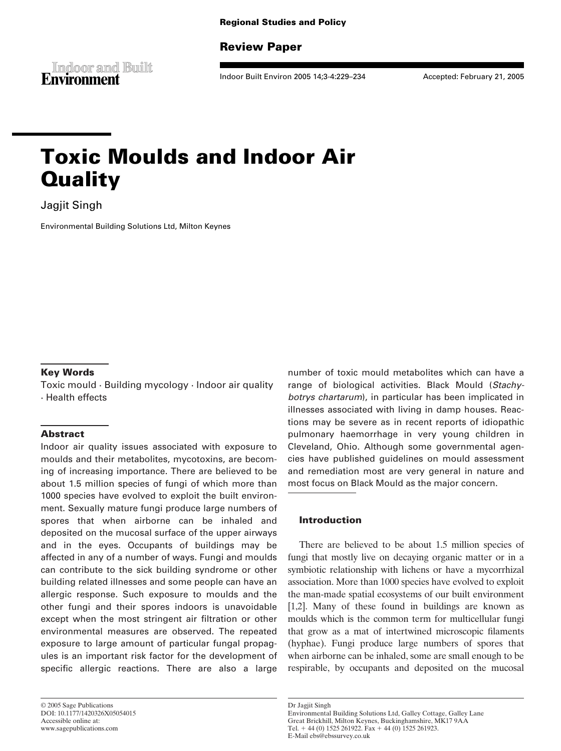**Review Paper**

**Indoor and Built Environment**

Indoor Built Environ 2005 14;3-4:229–234 Accepted: February 21, 2005

# **Toxic Moulds and Indoor Air Quality**

Jagjit Singh

Environmental Building Solutions Ltd, Milton Keynes

## **Key Words**

Toxic mould · Building mycology · Indoor air quality · Health effects

### **Abstract**

Indoor air quality issues associated with exposure to moulds and their metabolites, mycotoxins, are becoming of increasing importance. There are believed to be about 1.5 million species of fungi of which more than 1000 species have evolved to exploit the built environment. Sexually mature fungi produce large numbers of spores that when airborne can be inhaled and deposited on the mucosal surface of the upper airways and in the eyes. Occupants of buildings may be affected in any of a number of ways. Fungi and moulds can contribute to the sick building syndrome or other building related illnesses and some people can have an allergic response. Such exposure to moulds and the other fungi and their spores indoors is unavoidable except when the most stringent air filtration or other environmental measures are observed. The repeated exposure to large amount of particular fungal propagules is an important risk factor for the development of specific allergic reactions. There are also a large

© 2005 Sage Publications DOI: 10.1177/1420326X05054015 Accessible online at: www.sagepublications.com

number of toxic mould metabolites which can have a range of biological activities. Black Mould (*Stachybotrys chartarum*), in particular has been implicated in illnesses associated with living in damp houses. Reactions may be severe as in recent reports of idiopathic pulmonary haemorrhage in very young children in Cleveland, Ohio. Although some governmental agencies have published guidelines on mould assessment and remediation most are very general in nature and most focus on Black Mould as the major concern.

### **Introduction**

There are believed to be about 1.5 million species of fungi that mostly live on decaying organic matter or in a symbiotic relationship with lichens or have a mycorrhizal association. More than 1000 species have evolved to exploit the man-made spatial ecosystems of our built environment [1,2]. Many of these found in buildings are known as moulds which is the common term for multicellular fungi that grow as a mat of intertwined microscopic filaments (hyphae). Fungi produce large numbers of spores that when airborne can be inhaled, some are small enough to be respirable, by occupants and deposited on the mucosal

Dr Jagjit Singh

Environmental Building Solutions Ltd, Galley Cottage, Galley Lane Great Brickhill, Milton Keynes, Buckinghamshire, MK17 9AA Tel.  $+44$  (0) 1525 261922. Fax  $+44$  (0) 1525 261923. E-Mail ebs@ebssurvey.co.uk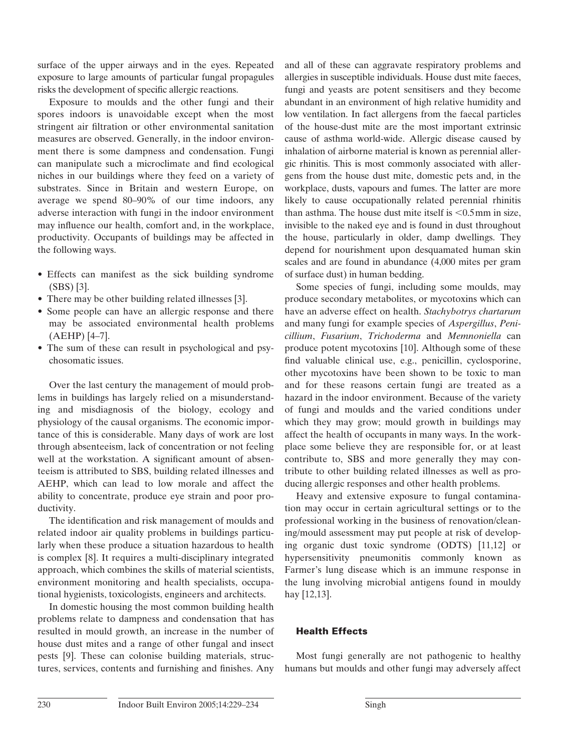surface of the upper airways and in the eyes. Repeated exposure to large amounts of particular fungal propagules risks the development of specific allergic reactions.

Exposure to moulds and the other fungi and their spores indoors is unavoidable except when the most stringent air filtration or other environmental sanitation measures are observed. Generally, in the indoor environment there is some dampness and condensation. Fungi can manipulate such a microclimate and find ecological niches in our buildings where they feed on a variety of substrates. Since in Britain and western Europe, on average we spend 80–90% of our time indoors, any adverse interaction with fungi in the indoor environment may influence our health, comfort and, in the workplace, productivity. Occupants of buildings may be affected in the following ways.

- Effects can manifest as the sick building syndrome (SBS) [3].
- There may be other building related illnesses [3].
- Some people can have an allergic response and there may be associated environmental health problems (AEHP) [4–7].
- The sum of these can result in psychological and psychosomatic issues.

Over the last century the management of mould problems in buildings has largely relied on a misunderstanding and misdiagnosis of the biology, ecology and physiology of the causal organisms. The economic importance of this is considerable. Many days of work are lost through absenteeism, lack of concentration or not feeling well at the workstation. A significant amount of absenteeism is attributed to SBS, building related illnesses and AEHP, which can lead to low morale and affect the ability to concentrate, produce eye strain and poor productivity.

The identification and risk management of moulds and related indoor air quality problems in buildings particularly when these produce a situation hazardous to health is complex [8]. It requires a multi-disciplinary integrated approach, which combines the skills of material scientists, environment monitoring and health specialists, occupational hygienists, toxicologists, engineers and architects.

In domestic housing the most common building health problems relate to dampness and condensation that has resulted in mould growth, an increase in the number of house dust mites and a range of other fungal and insect pests [9]. These can colonise building materials, structures, services, contents and furnishing and finishes. Any and all of these can aggravate respiratory problems and allergies in susceptible individuals. House dust mite faeces, fungi and yeasts are potent sensitisers and they become abundant in an environment of high relative humidity and low ventilation. In fact allergens from the faecal particles of the house-dust mite are the most important extrinsic cause of asthma world-wide. Allergic disease caused by inhalation of airborne material is known as perennial allergic rhinitis. This is most commonly associated with allergens from the house dust mite, domestic pets and, in the workplace, dusts, vapours and fumes. The latter are more likely to cause occupationally related perennial rhinitis than asthma. The house dust mite itself is  $\leq 0.5$  mm in size, invisible to the naked eye and is found in dust throughout the house, particularly in older, damp dwellings. They depend for nourishment upon desquamated human skin scales and are found in abundance (4,000 mites per gram of surface dust) in human bedding.

Some species of fungi, including some moulds, may produce secondary metabolites, or mycotoxins which can have an adverse effect on health. *Stachybotrys chartarum* and many fungi for example species of *Aspergillus*, *Penicillium*, *Fusarium*, *Trichoderma* and *Memnoniella* can produce potent mycotoxins [10]. Although some of these find valuable clinical use, e.g., penicillin, cyclosporine, other mycotoxins have been shown to be toxic to man and for these reasons certain fungi are treated as a hazard in the indoor environment. Because of the variety of fungi and moulds and the varied conditions under which they may grow; mould growth in buildings may affect the health of occupants in many ways. In the workplace some believe they are responsible for, or at least contribute to, SBS and more generally they may contribute to other building related illnesses as well as producing allergic responses and other health problems.

Heavy and extensive exposure to fungal contamination may occur in certain agricultural settings or to the professional working in the business of renovation/cleaning/mould assessment may put people at risk of developing organic dust toxic syndrome (ODTS) [11,12] or hypersensitivity pneumonitis commonly known as Farmer's lung disease which is an immune response in the lung involving microbial antigens found in mouldy hay [12,13].

# **Health Effects**

Most fungi generally are not pathogenic to healthy humans but moulds and other fungi may adversely affect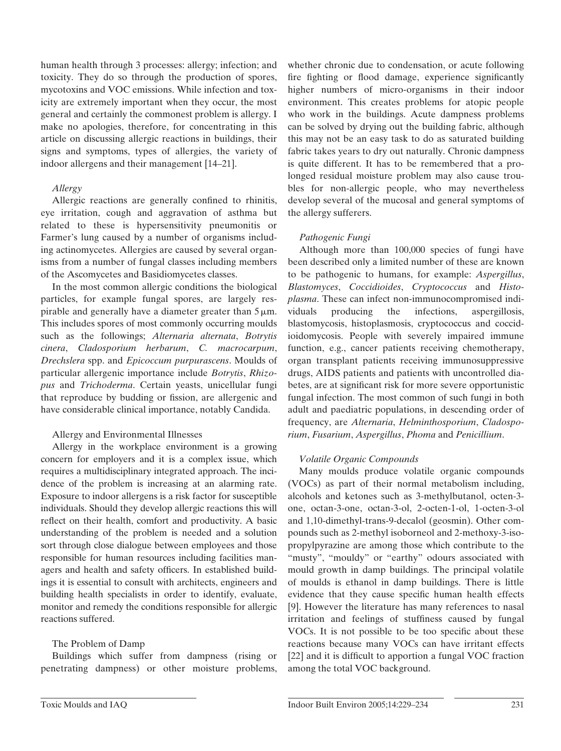human health through 3 processes: allergy; infection; and toxicity. They do so through the production of spores, mycotoxins and VOC emissions. While infection and toxicity are extremely important when they occur, the most general and certainly the commonest problem is allergy. I make no apologies, therefore, for concentrating in this article on discussing allergic reactions in buildings, their signs and symptoms, types of allergies, the variety of indoor allergens and their management [14–21].

# *Allergy*

Allergic reactions are generally confined to rhinitis, eye irritation, cough and aggravation of asthma but related to these is hypersensitivity pneumonitis or Farmer's lung caused by a number of organisms including actinomycetes. Allergies are caused by several organisms from a number of fungal classes including members of the Ascomycetes and Basidiomycetes classes.

In the most common allergic conditions the biological particles, for example fungal spores, are largely respirable and generally have a diameter greater than  $5 \mu m$ . This includes spores of most commonly occurring moulds such as the followings; *Alternaria alternata*, *Botrytis cinera*, *Cladosporium herbarum*, *C. macrocarpum*, *Drechslera* spp. and *Epicoccum purpurascens*. Moulds of particular allergenic importance include *Botrytis*, *Rhizopus* and *Trichoderma*. Certain yeasts, unicellular fungi that reproduce by budding or fission, are allergenic and have considerable clinical importance, notably Candida.

# Allergy and Environmental Illnesses

Allergy in the workplace environment is a growing concern for employers and it is a complex issue, which requires a multidisciplinary integrated approach. The incidence of the problem is increasing at an alarming rate. Exposure to indoor allergens is a risk factor for susceptible individuals. Should they develop allergic reactions this will reflect on their health, comfort and productivity. A basic understanding of the problem is needed and a solution sort through close dialogue between employees and those responsible for human resources including facilities managers and health and safety officers. In established buildings it is essential to consult with architects, engineers and building health specialists in order to identify, evaluate, monitor and remedy the conditions responsible for allergic reactions suffered.

# The Problem of Damp

Buildings which suffer from dampness (rising or penetrating dampness) or other moisture problems, whether chronic due to condensation, or acute following fire fighting or flood damage, experience significantly higher numbers of micro-organisms in their indoor environment. This creates problems for atopic people who work in the buildings. Acute dampness problems can be solved by drying out the building fabric, although this may not be an easy task to do as saturated building fabric takes years to dry out naturally. Chronic dampness is quite different. It has to be remembered that a prolonged residual moisture problem may also cause troubles for non-allergic people, who may nevertheless develop several of the mucosal and general symptoms of the allergy sufferers.

# *Pathogenic Fungi*

Although more than 100,000 species of fungi have been described only a limited number of these are known to be pathogenic to humans, for example: *Aspergillus*, *Blastomyces*, *Coccidioides*, *Cryptococcus* and *Histoplasma*. These can infect non-immunocompromised individuals producing the infections, aspergillosis, blastomycosis, histoplasmosis, cryptococcus and coccidioidomycosis. People with severely impaired immune function, e.g., cancer patients receiving chemotherapy, organ transplant patients receiving immunosuppressive drugs, AIDS patients and patients with uncontrolled diabetes, are at significant risk for more severe opportunistic fungal infection. The most common of such fungi in both adult and paediatric populations, in descending order of frequency, are *Alternaria*, *Helminthosporium*, *Cladosporium*, *Fusarium*, *Aspergillus*, *Phoma* and *Penicillium*.

# *Volatile Organic Compounds*

Many moulds produce volatile organic compounds (VOCs) as part of their normal metabolism including, alcohols and ketones such as 3-methylbutanol, octen-3 one, octan-3-one, octan-3-ol, 2-octen-1-ol, 1-octen-3-ol and 1,10-dimethyl-trans-9-decalol (geosmin). Other compounds such as 2-methyl isoborneol and 2-methoxy-3-isopropylpyrazine are among those which contribute to the "musty", "mouldy" or "earthy" odours associated with mould growth in damp buildings. The principal volatile of moulds is ethanol in damp buildings. There is little evidence that they cause specific human health effects [9]. However the literature has many references to nasal irritation and feelings of stuffiness caused by fungal VOCs. It is not possible to be too specific about these reactions because many VOCs can have irritant effects [22] and it is difficult to apportion a fungal VOC fraction among the total VOC background.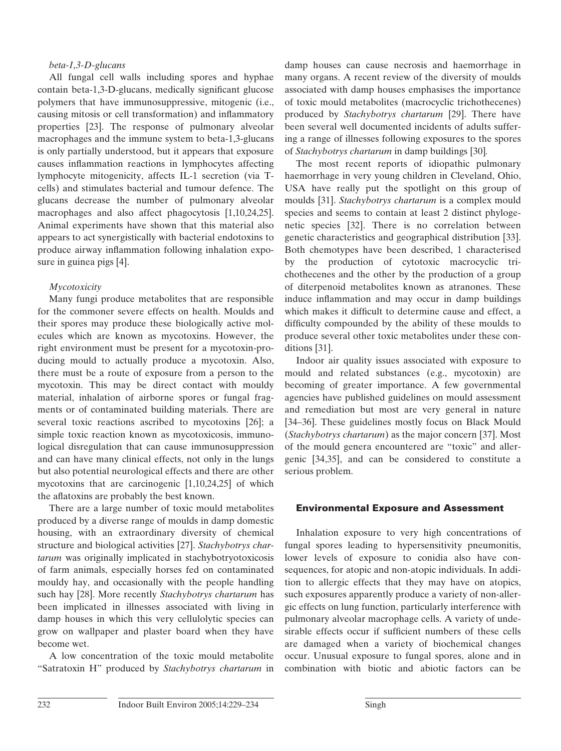### *beta-1,3-D-glucans*

All fungal cell walls including spores and hyphae contain beta-1,3-D-glucans, medically significant glucose polymers that have immunosuppressive, mitogenic (i.e., causing mitosis or cell transformation) and inflammatory properties [23]. The response of pulmonary alveolar macrophages and the immune system to beta-1,3-glucans is only partially understood, but it appears that exposure causes inflammation reactions in lymphocytes affecting lymphocyte mitogenicity, affects IL-1 secretion (via Tcells) and stimulates bacterial and tumour defence. The glucans decrease the number of pulmonary alveolar macrophages and also affect phagocytosis [1,10,24,25]. Animal experiments have shown that this material also appears to act synergistically with bacterial endotoxins to produce airway inflammation following inhalation exposure in guinea pigs [4].

# *Mycotoxicity*

Many fungi produce metabolites that are responsible for the commoner severe effects on health. Moulds and their spores may produce these biologically active molecules which are known as mycotoxins. However, the right environment must be present for a mycotoxin-producing mould to actually produce a mycotoxin. Also, there must be a route of exposure from a person to the mycotoxin. This may be direct contact with mouldy material, inhalation of airborne spores or fungal fragments or of contaminated building materials. There are several toxic reactions ascribed to mycotoxins [26]; a simple toxic reaction known as mycotoxicosis, immunological disregulation that can cause immunosuppression and can have many clinical effects, not only in the lungs but also potential neurological effects and there are other mycotoxins that are carcinogenic [1,10,24,25] of which the aflatoxins are probably the best known.

There are a large number of toxic mould metabolites produced by a diverse range of moulds in damp domestic housing, with an extraordinary diversity of chemical structure and biological activities [27]. *Stachybotrys chartarum* was originally implicated in stachybotryotoxicosis of farm animals, especially horses fed on contaminated mouldy hay, and occasionally with the people handling such hay [28]. More recently *Stachybotrys chartarum* has been implicated in illnesses associated with living in damp houses in which this very cellulolytic species can grow on wallpaper and plaster board when they have become wet.

A low concentration of the toxic mould metabolite "Satratoxin H" produced by *Stachybotrys chartarum* in damp houses can cause necrosis and haemorrhage in many organs. A recent review of the diversity of moulds associated with damp houses emphasises the importance of toxic mould metabolites (macrocyclic trichothecenes) produced by *Stachybotrys chartarum* [29]. There have been several well documented incidents of adults suffering a range of illnesses following exposures to the spores of *Stachybotrys chartarum* in damp buildings [30]*.*

The most recent reports of idiopathic pulmonary haemorrhage in very young children in Cleveland, Ohio, USA have really put the spotlight on this group of moulds [31]. *Stachybotrys chartarum* is a complex mould species and seems to contain at least 2 distinct phylogenetic species [32]. There is no correlation between genetic characteristics and geographical distribution [33]. Both chemotypes have been described, 1 characterised by the production of cytotoxic macrocyclic trichothecenes and the other by the production of a group of diterpenoid metabolites known as atranones. These induce inflammation and may occur in damp buildings which makes it difficult to determine cause and effect, a difficulty compounded by the ability of these moulds to produce several other toxic metabolites under these conditions [31].

Indoor air quality issues associated with exposure to mould and related substances (e.g., mycotoxin) are becoming of greater importance. A few governmental agencies have published guidelines on mould assessment and remediation but most are very general in nature [34–36]. These guidelines mostly focus on Black Mould (*Stachybotrys chartarum*) as the major concern [37]. Most of the mould genera encountered are "toxic" and allergenic [34,35], and can be considered to constitute a serious problem.

# **Environmental Exposure and Assessment**

Inhalation exposure to very high concentrations of fungal spores leading to hypersensitivity pneumonitis, lower levels of exposure to conidia also have consequences, for atopic and non-atopic individuals. In addition to allergic effects that they may have on atopics, such exposures apparently produce a variety of non-allergic effects on lung function, particularly interference with pulmonary alveolar macrophage cells. A variety of undesirable effects occur if sufficient numbers of these cells are damaged when a variety of biochemical changes occur. Unusual exposure to fungal spores, alone and in combination with biotic and abiotic factors can be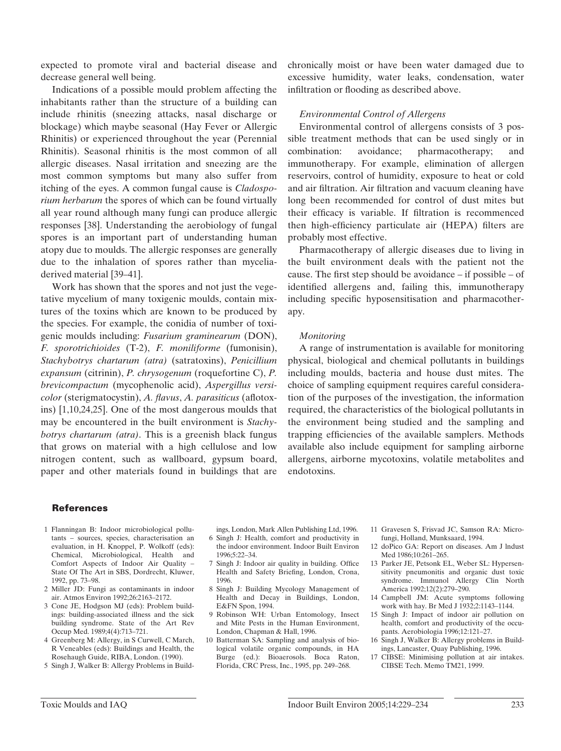expected to promote viral and bacterial disease and decrease general well being.

Indications of a possible mould problem affecting the inhabitants rather than the structure of a building can include rhinitis (sneezing attacks, nasal discharge or blockage) which maybe seasonal (Hay Fever or Allergic Rhinitis) or experienced throughout the year (Perennial Rhinitis). Seasonal rhinitis is the most common of all allergic diseases. Nasal irritation and sneezing are the most common symptoms but many also suffer from itching of the eyes. A common fungal cause is *Cladosporium herbarum* the spores of which can be found virtually all year round although many fungi can produce allergic responses [38]. Understanding the aerobiology of fungal spores is an important part of understanding human atopy due to moulds. The allergic responses are generally due to the inhalation of spores rather than myceliaderived material [39–41].

Work has shown that the spores and not just the vegetative mycelium of many toxigenic moulds, contain mixtures of the toxins which are known to be produced by the species. For example, the conidia of number of toxigenic moulds including: *Fusarium graminearum* (DON), *F. sporotrichioides* (T-2), *F. moniliforme* (fumonisin), *Stachybotrys chartarum (atra)* (satratoxins), *Penicillium expansum* (citrinin), *P. chrysogenum* (roquefortine C), *P. brevicompactum* (mycophenolic acid), *Aspergillus versicolor* (sterigmatocystin), *A. flavus*, *A. parasiticus* (aflotoxins) [1,10,24,25]. One of the most dangerous moulds that may be encountered in the built environment is *Stachybotrys chartarum (atra)*. This is a greenish black fungus that grows on material with a high cellulose and low nitrogen content, such as wallboard, gypsum board, paper and other materials found in buildings that are

chronically moist or have been water damaged due to excessive humidity, water leaks, condensation, water infiltration or flooding as described above.

#### *Environmental Control of Allergens*

Environmental control of allergens consists of 3 possible treatment methods that can be used singly or in combination: avoidance; pharmacotherapy; and immunotherapy. For example, elimination of allergen reservoirs, control of humidity, exposure to heat or cold and air filtration. Air filtration and vacuum cleaning have long been recommended for control of dust mites but their efficacy is variable. If filtration is recommenced then high-efficiency particulate air (HEPA) filters are probably most effective.

Pharmacotherapy of allergic diseases due to living in the built environment deals with the patient not the cause. The first step should be avoidance – if possible – of identified allergens and, failing this, immunotherapy including specific hyposensitisation and pharmacotherapy.

#### *Monitoring*

A range of instrumentation is available for monitoring physical, biological and chemical pollutants in buildings including moulds, bacteria and house dust mites. The choice of sampling equipment requires careful consideration of the purposes of the investigation, the information required, the characteristics of the biological pollutants in the environment being studied and the sampling and trapping efficiencies of the available samplers. Methods available also include equipment for sampling airborne allergens, airborne mycotoxins, volatile metabolites and endotoxins.

#### **References**

- 1 Flanningan B: Indoor microbiological pollutants – sources, species, characterisation an evaluation, in H. Knoppel, P. Wolkoff (eds): Chemical, Microbiological, Health and Comfort Aspects of Indoor Air Quality – State Of The Art in SBS, Dordrecht, Kluwer, 1992, pp. 73–98.
- 2 Miller JD: Fungi as contaminants in indoor air. Atmos Environ 1992;26:2163–2172.
- 3 Cone JE, Hodgson MJ (eds): Problem buildings: building-associated illness and the sick building syndrome. State of the Art Rev Occup Med. 1989;4(4):713–721.
- 4 Greenberg M: Allergy, in S Curwell, C March, R Veneables (eds): Buildings and Health, the Rosehaugh Guide, RIBA, London. (1990).
- 5 Singh J, Walker B: Allergy Problems in Build-

ings, London, Mark Allen Publishing Ltd, 1996.

- 6 Singh J: Health, comfort and productivity in the indoor environment. Indoor Built Environ 1996;5:22–34.
- 7 Singh J: Indoor air quality in building. Office Health and Safety Briefing, London, Crona, 1996.
- 8 Singh J: Building Mycology Management of Health and Decay in Buildings, London, E&FN Spon, 1994.
- 9 Robinson WH: Urban Entomology, Insect and Mite Pests in the Human Environment, London, Chapman & Hall, 1996.
- 10 Batterman SA: Sampling and analysis of biological volatile organic compounds, in HA Burge (ed.): Bioaerosols. Boca Raton, Florida, CRC Press, Inc., 1995, pp. 249–268.
- 11 Gravesen S, Frisvad JC, Samson RA: Microfungi, Holland, Munksaard, 1994.
- 12 doPico GA: Report on diseases. Am J lndust Med 1986;10:261–265.
- 13 Parker JE, Petsonk EL, Weber SL: Hypersensitivity pneumonitis and organic dust toxic syndrome. Immunol Allergy Clin North America 1992;12(2):279–290.
- 14 Campbell JM: Acute symptoms following work with hay. Br Med J 1932;2:1143–1144.
- 15 Singh J: Impact of indoor air pollution on health, comfort and productivity of the occupants. Aerobiologia 1996;12:121–27.
- 16 Singh J, Walker B: Allergy problems in Buildings, Lancaster, Quay Publishing, 1996.
- 17 CIBSE: Minimising pollution at air intakes. CIBSE Tech. Memo TM21, 1999.